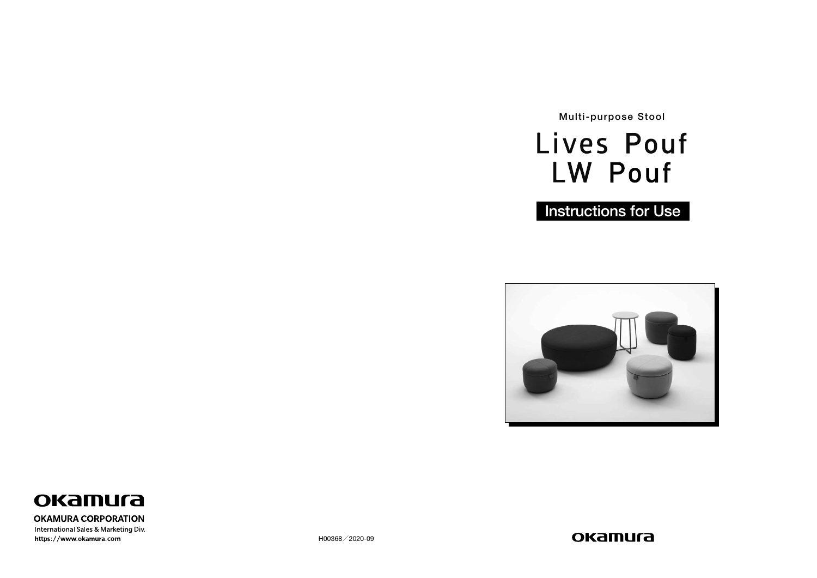H00368/2020-09





Multi-purpose Stool



**Instructions for Use** 





#### **OKAMURA CORPORATION**

International Sales & Marketing Div. https://www.okamura.com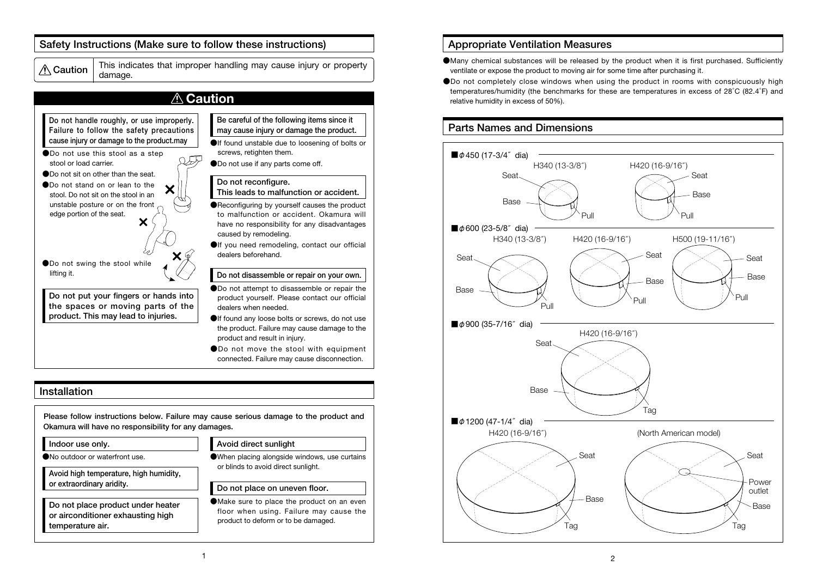

- ●Many chemical substances will be released by the product when it is first purchased. Sufficiently ventilate or expose the product to moving air for some time after purchasing it.
- ●Do not completely close windows when using the product in rooms with conspicuously high temperatures/humidity (the benchmarks for these are temperatures in excess of 28°C (82.4°F) and relative humidity in excess of 50%).

## Appropriate Ventilation Measures

#### Installation

## Safety Instructions (Make sure to follow these instructions)

 $\mathcal{A}$  Caution  $\frac{1}{\text{damaae}}$ 

This indicates that improper handling may cause injury or property





Please follow instructions below. Failure may cause serious damage to the product and Okamura will have no responsibility for any damages.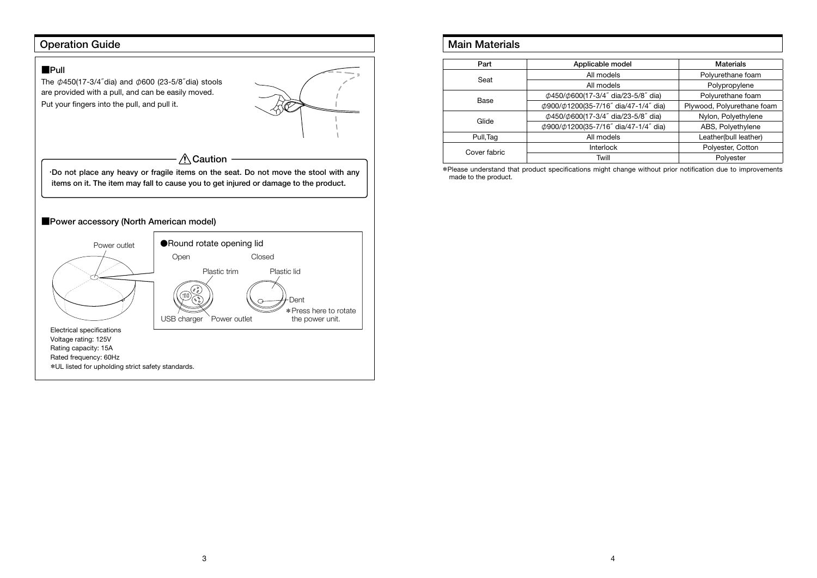# Operation Guide



# Main Materials

| Part         | Applicable model                                  | <b>Materials</b>           |
|--------------|---------------------------------------------------|----------------------------|
| Seat         | All models                                        | Polyurethane foam          |
|              | All models                                        | Polypropylene              |
| Base         | $\phi$ 450/ $\phi$ 600(17-3/4" dia/23-5/8" dia)   | Polyurethane foam          |
|              | $\phi$ 900/ $\phi$ 1200(35-7/16" dia/47-1/4" dia) | Plywood, Polyurethane foam |
| Glide        | $\phi$ 450/ $\phi$ 600(17-3/4" dia/23-5/8" dia)   | Nylon, Polyethylene        |
|              | $\phi$ 900/ $\phi$ 1200(35-7/16" dia/47-1/4" dia) | ABS, Polyethylene          |
| Pull, Tag    | All models                                        | Leather(bull leather)      |
| Cover fabric | <b>Interlock</b>                                  | Polyester, Cotton          |
|              | Twill                                             | Polyester                  |

\*Please understand that product specifications might change without prior notification due to improvements made to the product.